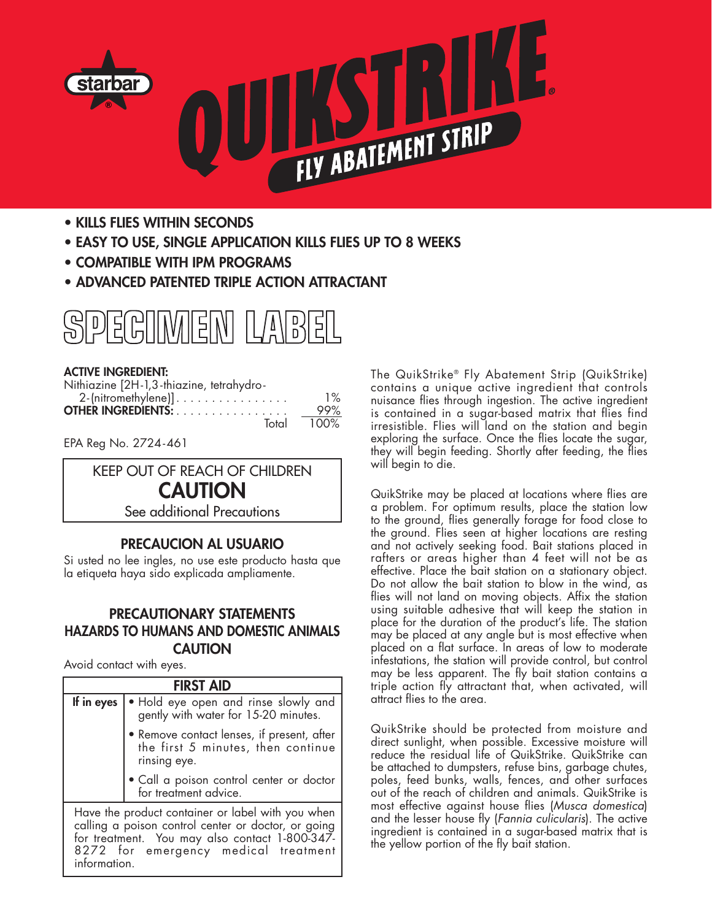

- **• KILLS FLIES WITHIN SECONDS**
- **• EASY TO USE, SINGLE APPLICATION KILLS FLIES UP TO 8 WEEKS**
- **• COMPATIBLE WITH IPM PROGRAMS**
- **• ADVANCED PATENTED TRIPLE ACTION ATTRACTANT**



#### **ACTIVE INGREDIENT:**

| Nithiazine [2H-1,3-thiazine, tetrahydro- |       |
|------------------------------------------|-------|
| $2$ -(nitromethylene)]                   | $1\%$ |
| <b>OTHER INGREDIENTS:</b>                | 99%   |
| Total                                    | 100%  |

EPA Reg No. 2724-461



# **PRECAUCION AL USUARIO**

Si usted no lee ingles, no use este producto hasta que la etiqueta haya sido explicada ampliamente.

### **PRECAUTIONARY STATEMENTS HAZARDS TO HUMANS AND DOMESTIC ANIMALS CAUTION**

Avoid contact with eyes.

| <b>FIRST AID</b>                                                                                                                                                                                                   |                                                                                                  |
|--------------------------------------------------------------------------------------------------------------------------------------------------------------------------------------------------------------------|--------------------------------------------------------------------------------------------------|
| If in eyes                                                                                                                                                                                                         | • Hold eye open and rinse slowly and<br>gently with water for 15-20 minutes.                     |
|                                                                                                                                                                                                                    | • Remove contact lenses, if present, after<br>the first 5 minutes, then continue<br>rinsing eye. |
|                                                                                                                                                                                                                    | • Call a poison control center or doctor<br>for treatment advice.                                |
| Have the product container or label with you when<br>calling a poison control center or doctor, or going<br>for treatment. You may also contact 1-800-347-<br>8272 for emergency medical treatment<br>information. |                                                                                                  |

The QuikStrike® Fly Abatement Strip (QuikStrike) contains a unique active ingredient that controls nuisance flies through ingestion. The active ingredient is contained in a sugar-based matrix that flies find irresistible. Flies will land on the station and begin exploring the surface. Once the flies locate the sugar, they will begin feeding. Shortly after feeding, the flies will begin to die.

QuikStrike may be placed at locations where flies are a problem. For optimum results, place the station low to the ground, flies generally forage for food close to the ground. Flies seen at higher locations are resting and not actively seeking food. Bait stations placed in rafters or areas higher than 4 feet will not be as effective. Place the bait station on a stationary object. Do not allow the bait station to blow in the wind, as flies will not land on moving objects. Affix the station using suitable adhesive that will keep the station in place for the duration of the product's life. The station may be placed at any angle but is most effective when placed on a flat surface. In areas of low to moderate infestations, the station will provide control, but control may be less apparent. The fly bait station contains a triple action fly attractant that, when activated, will attract flies to the area.

QuikStrike should be protected from moisture and direct sunlight, when possible. Excessive moisture will reduce the residual life of QuikStrike. QuikStrike can be attached to dumpsters, refuse bins, garbage chutes, poles, feed bunks, walls, fences, and other surfaces out of the reach of children and animals. QuikStrike is most effective against house flies (*Musca domestica*) and the lesser house fly (*Fannia culicularis*). The active ingredient is contained in a sugar-based matrix that is the yellow portion of the fly bait station.